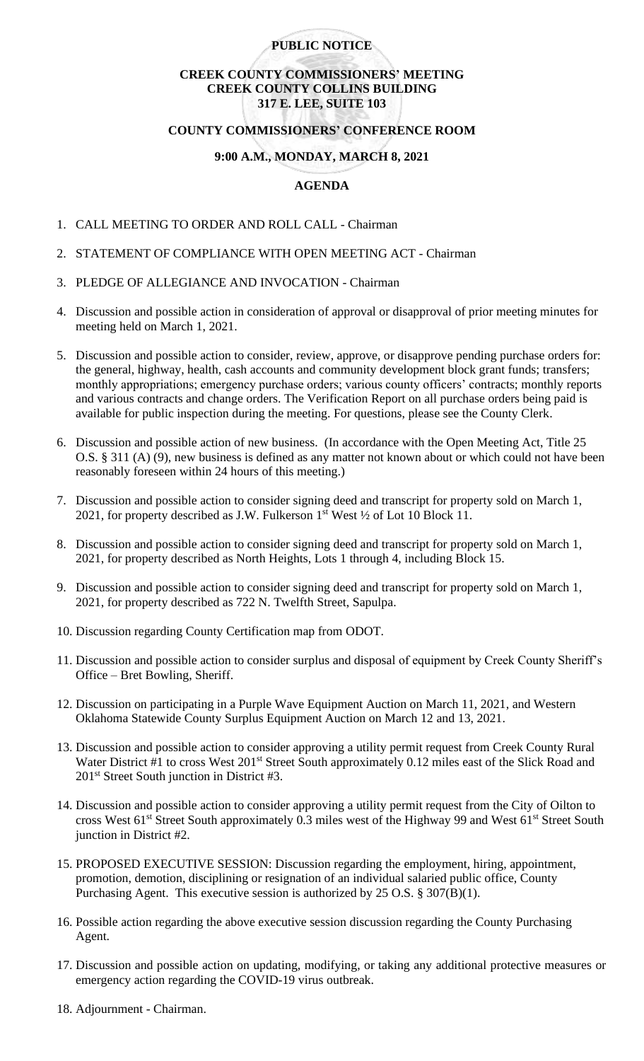## **PUBLIC NOTICE**

# **CREEK COUNTY COMMISSIONERS' MEETING CREEK COUNTY COLLINS BUILDING 317 E. LEE, SUITE 103**

#### **COUNTY COMMISSIONERS' CONFERENCE ROOM**

#### **9:00 A.M., MONDAY, MARCH 8, 2021**

### **AGENDA**

- 1. CALL MEETING TO ORDER AND ROLL CALL Chairman
- 2. STATEMENT OF COMPLIANCE WITH OPEN MEETING ACT Chairman
- 3. PLEDGE OF ALLEGIANCE AND INVOCATION Chairman
- 4. Discussion and possible action in consideration of approval or disapproval of prior meeting minutes for meeting held on March 1, 2021.
- 5. Discussion and possible action to consider, review, approve, or disapprove pending purchase orders for: the general, highway, health, cash accounts and community development block grant funds; transfers; monthly appropriations; emergency purchase orders; various county officers' contracts; monthly reports and various contracts and change orders. The Verification Report on all purchase orders being paid is available for public inspection during the meeting. For questions, please see the County Clerk.
- 6. Discussion and possible action of new business. (In accordance with the Open Meeting Act, Title 25 O.S. § 311 (A) (9), new business is defined as any matter not known about or which could not have been reasonably foreseen within 24 hours of this meeting.)
- 7. Discussion and possible action to consider signing deed and transcript for property sold on March 1, 2021, for property described as J.W. Fulkerson  $1<sup>st</sup>$  West  $\frac{1}{2}$  of Lot 10 Block 11.
- 8. Discussion and possible action to consider signing deed and transcript for property sold on March 1, 2021, for property described as North Heights, Lots 1 through 4, including Block 15.
- 9. Discussion and possible action to consider signing deed and transcript for property sold on March 1, 2021, for property described as 722 N. Twelfth Street, Sapulpa.
- 10. Discussion regarding County Certification map from ODOT.
- 11. Discussion and possible action to consider surplus and disposal of equipment by Creek County Sheriff's Office – Bret Bowling, Sheriff.
- 12. Discussion on participating in a Purple Wave Equipment Auction on March 11, 2021, and Western Oklahoma Statewide County Surplus Equipment Auction on March 12 and 13, 2021.
- 13. Discussion and possible action to consider approving a utility permit request from Creek County Rural Water District #1 to cross West 201<sup>st</sup> Street South approximately 0.12 miles east of the Slick Road and 201st Street South junction in District #3.
- 14. Discussion and possible action to consider approving a utility permit request from the City of Oilton to cross West 61<sup>st</sup> Street South approximately 0.3 miles west of the Highway 99 and West 61<sup>st</sup> Street South junction in District #2.
- 15. PROPOSED EXECUTIVE SESSION: Discussion regarding the employment, hiring, appointment, promotion, demotion, disciplining or resignation of an individual salaried public office, County Purchasing Agent. This executive session is authorized by 25 O.S. § 307(B)(1).
- 16. Possible action regarding the above executive session discussion regarding the County Purchasing Agent.
- 17. Discussion and possible action on updating, modifying, or taking any additional protective measures or emergency action regarding the COVID-19 virus outbreak.
- 18. Adjournment Chairman.